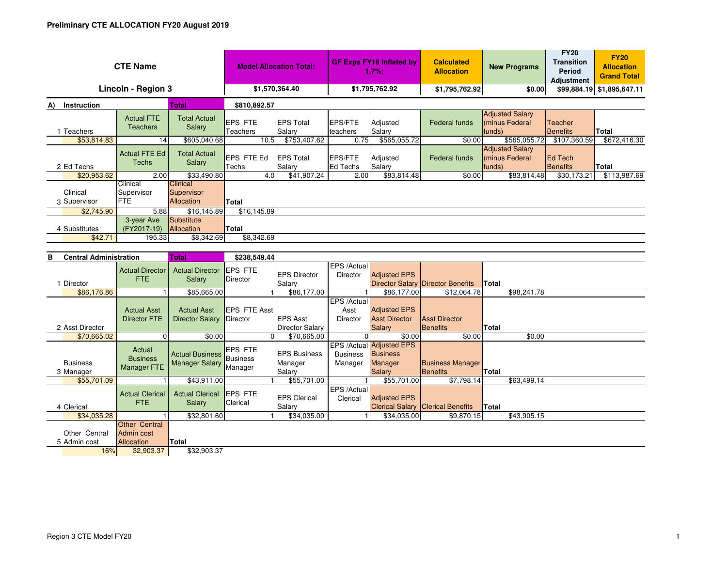| <b>CTE Name</b>                        |                                              |                                                             | <b>Model Allocation Total:</b>         |                                                          | <b>GF Exps FY18 Inflated by</b><br>1.7%: |                                                                      | <b>Calculated</b><br><b>Allocation</b>                 | <b>New Programs</b>                                                | <b>FY20</b><br><b>Transition</b><br>Period<br><b>Adjustment</b> | <b>FY20</b><br><b>Allocation</b><br><b>Grand Total</b> |
|----------------------------------------|----------------------------------------------|-------------------------------------------------------------|----------------------------------------|----------------------------------------------------------|------------------------------------------|----------------------------------------------------------------------|--------------------------------------------------------|--------------------------------------------------------------------|-----------------------------------------------------------------|--------------------------------------------------------|
| Lincoln - Region 3                     |                                              |                                                             | \$1,570,364.40                         |                                                          | \$1,795,762.92                           |                                                                      | \$1,795,762.92                                         | \$0.00                                                             |                                                                 | \$99,884.19 \$1,895,647.11                             |
| <b>Instruction</b><br>Total<br>A)      |                                              | \$810.892.57                                                |                                        |                                                          |                                          |                                                                      |                                                        |                                                                    |                                                                 |                                                        |
| 1 Teachers                             | <b>Actual FTE</b><br><b>Teachers</b>         | <b>Total Actual</b><br>Salary                               | <b>EPS FTE</b><br>Teachers             | <b>EPS Total</b><br>Salary                               | EPS/FTE<br>teachers                      | Adjusted<br>Salary                                                   | <b>Federal funds</b>                                   | <b>Adjusted Salary</b><br>(minus Federal<br>funds)                 | Teacher<br><b>Benefits</b>                                      | Total                                                  |
| \$53,814.83<br>2 Ed Techs              | 14<br><b>Actual FTE Ed</b><br>Techs          | \$605,040.68<br><b>Total Actual</b><br>Salary               | 10.5<br>EPS FTE Ed<br>Techs            | \$753,407.62<br><b>EPS Total</b><br>Salary               | 0.75<br><b>EPS/FTE</b><br>Ed Techs       | \$565,055.72<br>Adjusted<br>Salary                                   | \$0.00<br><b>Federal funds</b>                         | \$565,055.72<br><b>Adjusted Salary</b><br>(minus Federal<br>funds) | \$107,360.59<br>Ed Tech<br><b>Benefits</b>                      | \$672,416.30<br><b>Total</b>                           |
| \$20,953.62                            | 2.00                                         | \$33,490.80                                                 | 4.0                                    | \$41,907.24                                              | 2.00                                     | \$83,814.48                                                          | \$0.00                                                 | \$83,814.48                                                        | \$30,173.21                                                     | \$113,987.69                                           |
| Clinical<br>3 Supervisor               | Clinical<br>Supervisor<br><b>FTE</b><br>5.88 | Clinical<br>Supervisor<br>Allocation<br>\$16,145.89         | <b>Total</b><br>\$16, 145.89           |                                                          |                                          |                                                                      |                                                        |                                                                    |                                                                 |                                                        |
| \$2,745.90<br>4 Substitutes<br>\$42.71 | 3-year Ave<br>(FY2017-19)<br>195.33          | Substitute<br>Allocation<br>\$8,342.69                      | Total<br>\$8,342.69                    |                                                          |                                          |                                                                      |                                                        |                                                                    |                                                                 |                                                        |
|                                        |                                              |                                                             |                                        |                                                          |                                          |                                                                      |                                                        |                                                                    |                                                                 |                                                        |
| <b>Central Administration</b><br>в     |                                              | <b>Total</b>                                                | \$238,549.44                           |                                                          |                                          |                                                                      |                                                        |                                                                    |                                                                 |                                                        |
| 1 Director                             | <b>Actual Director</b><br><b>FTE</b>         | <b>Actual Director</b><br>Salary                            | EPS FTE<br>Director                    | <b>EPS Director</b><br>Salary                            | EPS /Actual<br><b>Director</b>           | <b>Adiusted EPS</b><br><b>Director Salary</b>                        | <b>Director Benefits</b>                               | <b>Total</b>                                                       |                                                                 |                                                        |
| \$86,176.86<br>2 Asst Director         | <b>Actual Asst</b><br><b>Director FTE</b>    | \$85,665.00<br><b>Actual Asst</b><br><b>Director Salary</b> | <b>EPS FTE Asst</b><br><b>Director</b> | \$86,177.00<br><b>EPS Asst</b><br><b>Director Salary</b> | EPS /Actual<br>Asst<br>Director          | \$86,177.00<br><b>Adjusted EPS</b><br><b>Asst Director</b><br>Salary | \$12,064.78<br><b>Asst Director</b><br><b>Benefits</b> | \$98,241.78<br><b>Total</b>                                        |                                                                 |                                                        |
| \$70,665.02                            | $\Omega$                                     | \$0.00                                                      | $\Omega$                               | \$70,665.00                                              |                                          | \$0.00                                                               | \$0.00                                                 | \$0.00                                                             |                                                                 |                                                        |
| <b>Business</b>                        | Actual<br><b>Business</b>                    | <b>Actual Business</b><br><b>Manager Salary</b>             | EPS FTE<br><b>Business</b><br>Manager  | <b>EPS Business</b><br>Manager                           | <b>Business</b><br>Manager               | EPS /Actual Adjusted EPS<br><b>Business</b><br>Manager<br>Salary     | <b>Business Manager</b><br><b>Benefits</b>             | Total                                                              |                                                                 |                                                        |
| 3 Manager                              | Manager FTE                                  |                                                             |                                        | Salary                                                   |                                          |                                                                      |                                                        |                                                                    |                                                                 |                                                        |
| \$55,701.09                            |                                              | \$43,911.00                                                 |                                        | \$55,701.00                                              |                                          | \$55,701.00                                                          | \$7,798.14                                             | \$63,499.14                                                        |                                                                 |                                                        |
| 4 Clerical                             | <b>Actual Clerical</b><br><b>FTE</b>         | <b>Actual Clerical</b><br>Salary                            | <b>EPS FTE</b><br>Clerical             | <b>EPS Clerical</b><br>Salary                            | EPS /Actual<br>Clerical                  | <b>Adjusted EPS</b><br><b>Clerical Salary</b>                        | <b>Clerical Benefits</b>                               | Total                                                              |                                                                 |                                                        |
| \$34,035.28                            | <b>Other Central</b>                         | \$32,801.60                                                 | $\blacktriangleleft$                   | \$34,035.00                                              |                                          | \$34,035.00                                                          | \$9,870.15                                             | \$43,905.15                                                        |                                                                 |                                                        |

16%<mark>%</mark> 32,903.37 \$32,903.37